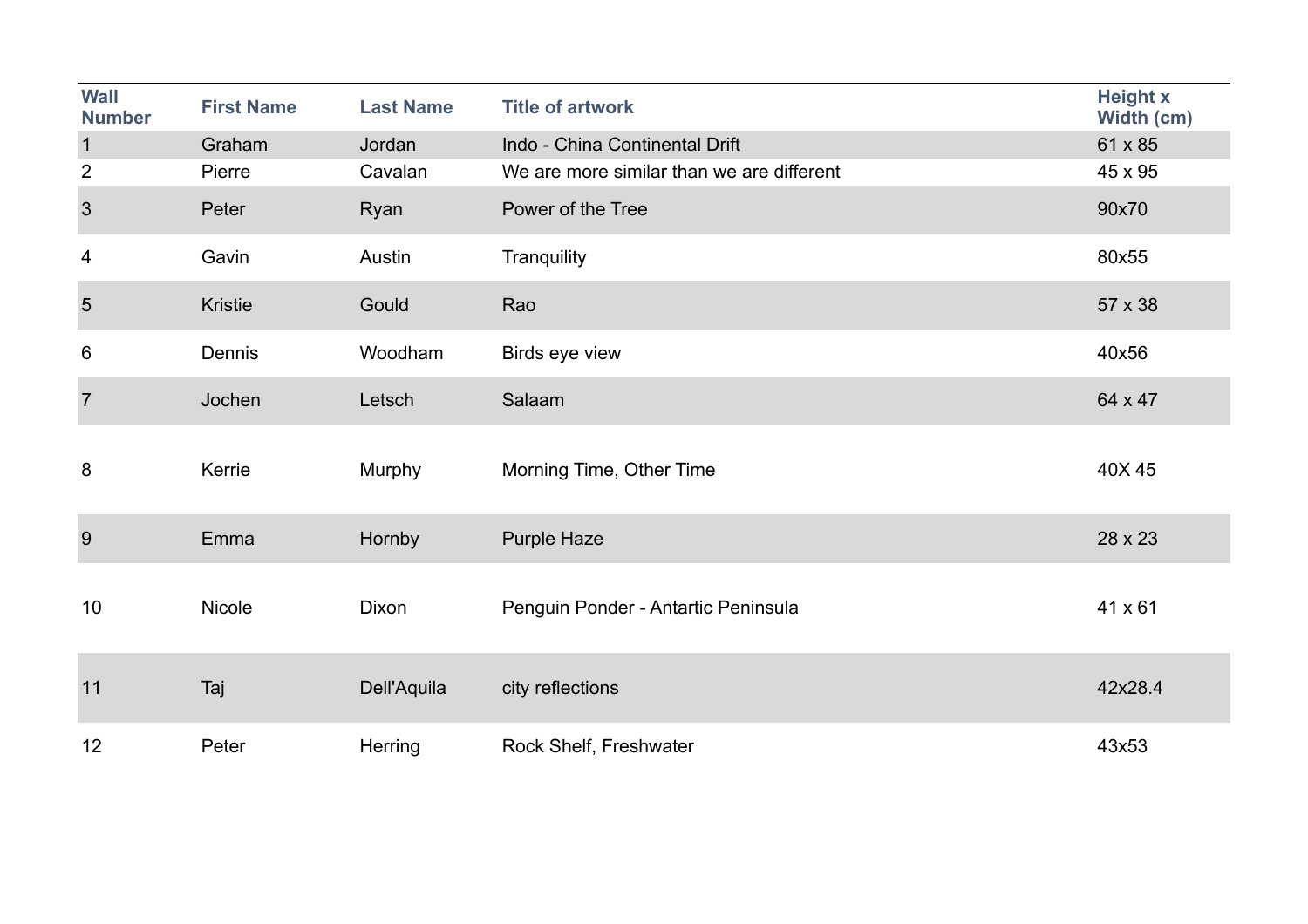| <b>Wall</b><br><b>Number</b> | <b>First Name</b> | <b>Last Name</b> | <b>Title of artwork</b>                   | <b>Height x</b><br>Width (cm) |
|------------------------------|-------------------|------------------|-------------------------------------------|-------------------------------|
| $\overline{1}$               | Graham            | Jordan           | Indo - China Continental Drift            | 61 x 85                       |
| $\overline{2}$               | Pierre            | Cavalan          | We are more similar than we are different | 45 x 95                       |
| $\mathbf{3}$                 | Peter             | Ryan             | Power of the Tree                         | 90x70                         |
| 4                            | Gavin             | Austin           | Tranquility                               | 80x55                         |
| $5\phantom{.}$               | <b>Kristie</b>    | Gould            | Rao                                       | 57 x 38                       |
| 6                            | Dennis            | Woodham          | Birds eye view                            | 40x56                         |
| $\overline{7}$               | Jochen            | Letsch           | Salaam                                    | 64 x 47                       |
| 8                            | Kerrie            | Murphy           | Morning Time, Other Time                  | 40X 45                        |
| 9                            | Emma              | Hornby           | <b>Purple Haze</b>                        | 28 x 23                       |
| 10                           | <b>Nicole</b>     | Dixon            | Penguin Ponder - Antartic Peninsula       | 41 x 61                       |
| 11                           | Taj               | Dell'Aquila      | city reflections                          | 42x28.4                       |
| 12                           | Peter             | Herring          | Rock Shelf, Freshwater                    | 43x53                         |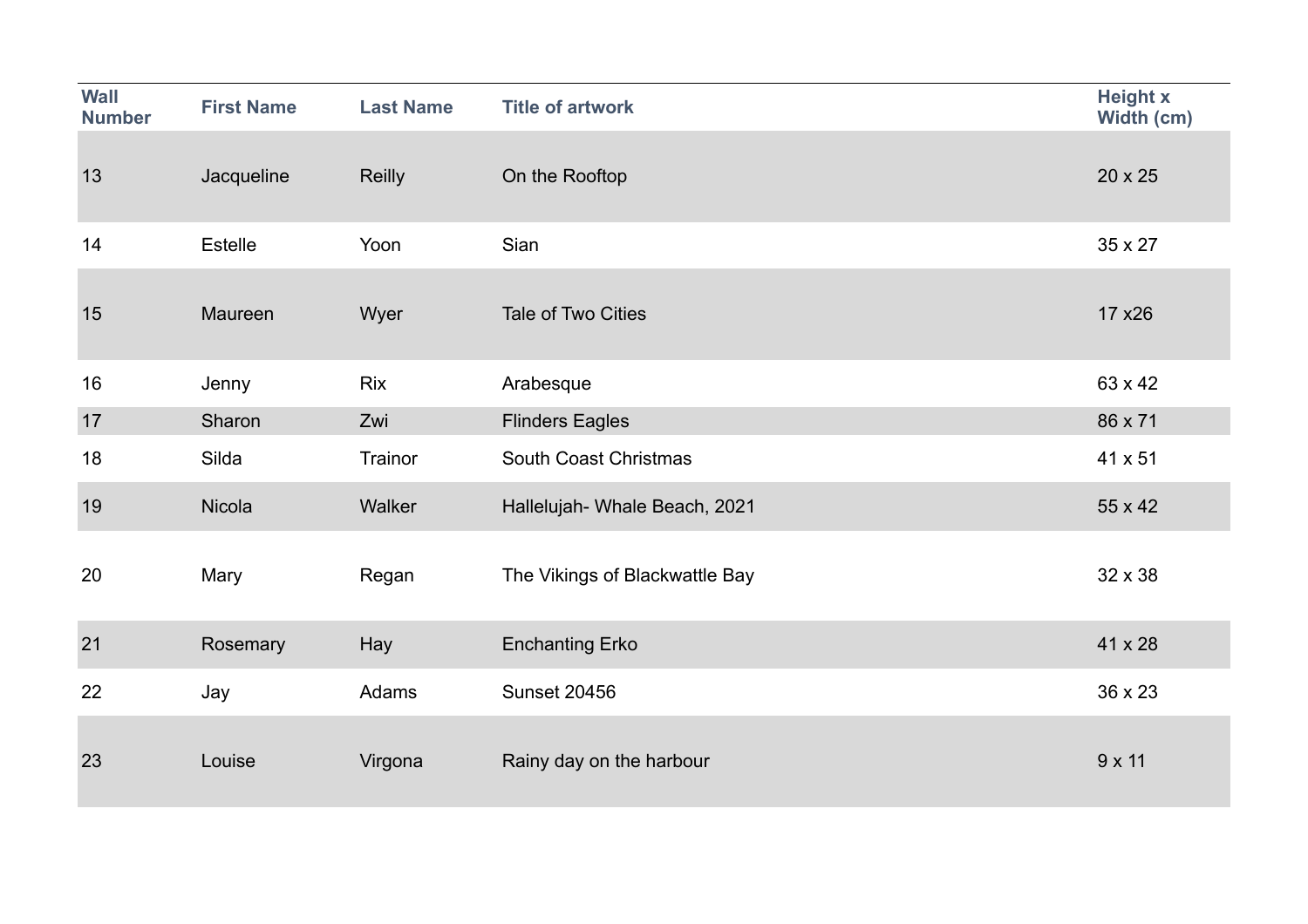| <b>Wall</b><br><b>Number</b> | <b>First Name</b> | <b>Last Name</b> | <b>Title of artwork</b>        | <b>Height x</b><br>Width (cm) |
|------------------------------|-------------------|------------------|--------------------------------|-------------------------------|
| 13                           | Jacqueline        | <b>Reilly</b>    | On the Rooftop                 | 20 x 25                       |
| 14                           | <b>Estelle</b>    | Yoon             | Sian                           | 35 x 27                       |
| 15                           | Maureen           | Wyer             | Tale of Two Cities             | 17 x 26                       |
| 16                           | Jenny             | <b>Rix</b>       | Arabesque                      | 63 x 42                       |
| 17                           | Sharon            | Zwi              | <b>Flinders Eagles</b>         | 86 x 71                       |
| 18                           | Silda             | Trainor          | South Coast Christmas          | 41 x 51                       |
| 19                           | Nicola            | Walker           | Hallelujah- Whale Beach, 2021  | 55 x 42                       |
| 20                           | Mary              | Regan            | The Vikings of Blackwattle Bay | 32 x 38                       |
| 21                           | Rosemary          | Hay              | <b>Enchanting Erko</b>         | 41 x 28                       |
| 22                           | Jay               | Adams            | <b>Sunset 20456</b>            | 36 x 23                       |
| 23                           | Louise            | Virgona          | Rainy day on the harbour       | $9 \times 11$                 |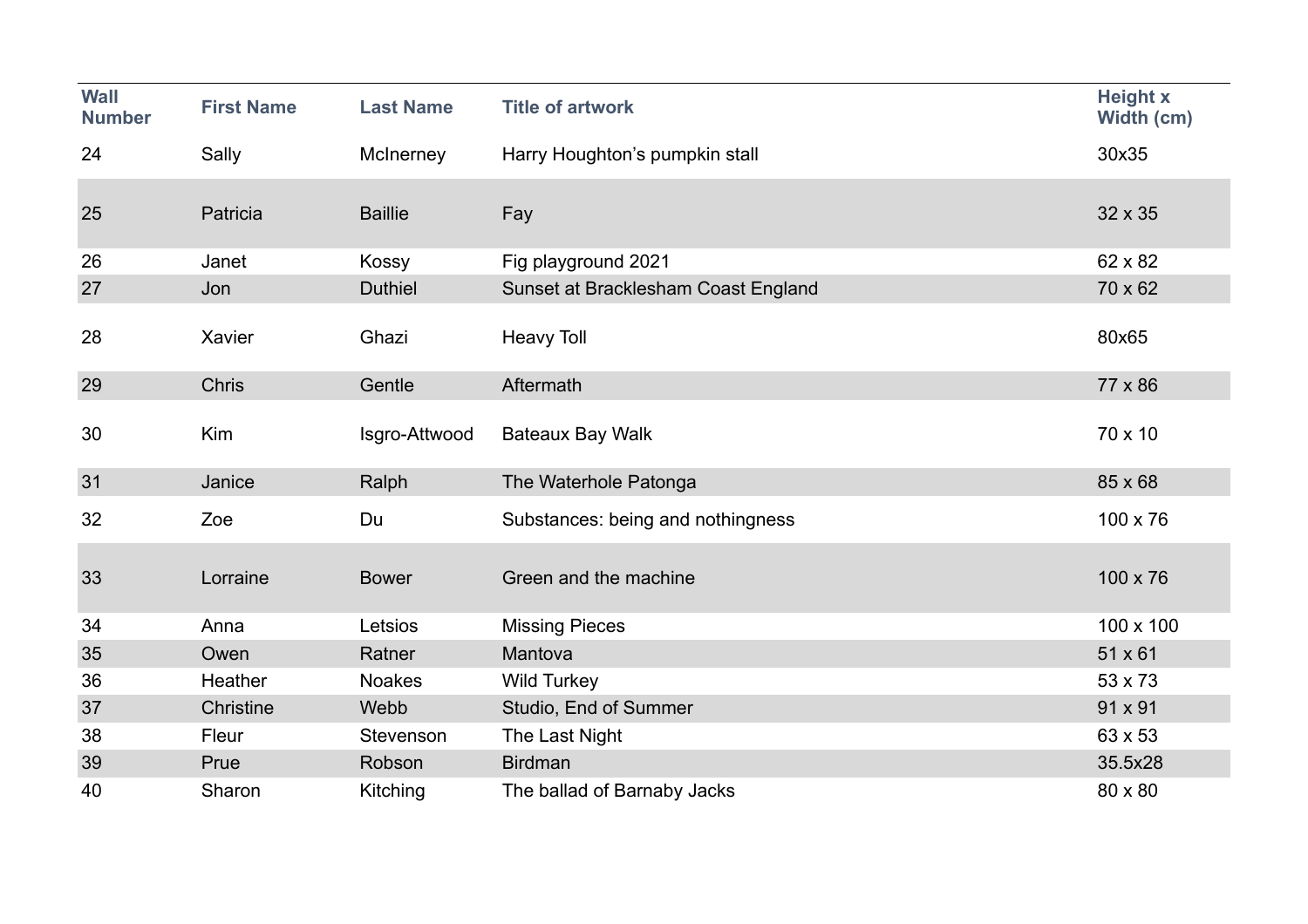| <b>Wall</b><br><b>Number</b> | <b>First Name</b> | <b>Last Name</b> | <b>Title of artwork</b>             | <b>Height x</b><br>Width (cm) |
|------------------------------|-------------------|------------------|-------------------------------------|-------------------------------|
| 24                           | Sally             | McInerney        | Harry Houghton's pumpkin stall      | 30x35                         |
|                              |                   |                  |                                     |                               |
| 25                           | Patricia          | <b>Baillie</b>   | Fay                                 | 32 x 35                       |
| 26                           | Janet             | Kossy            | Fig playground 2021                 | 62 x 82                       |
| 27                           | Jon               | <b>Duthiel</b>   | Sunset at Bracklesham Coast England | 70 x 62                       |
| 28                           | Xavier            | Ghazi            | <b>Heavy Toll</b>                   | 80x65                         |
| 29                           | <b>Chris</b>      | Gentle           | Aftermath                           | 77 x 86                       |
| 30                           | Kim               | Isgro-Attwood    | <b>Bateaux Bay Walk</b>             | 70 x 10                       |
| 31                           | Janice            | Ralph            | The Waterhole Patonga               | 85 x 68                       |
| 32                           | Zoe               | Du               | Substances: being and nothingness   | 100 x 76                      |
| 33                           | Lorraine          | <b>Bower</b>     | Green and the machine               | 100 x 76                      |
| 34                           | Anna              | Letsios          | <b>Missing Pieces</b>               | 100 x 100                     |
| 35                           | Owen              | Ratner           | Mantova                             | 51 x 61                       |
| 36                           | Heather           | <b>Noakes</b>    | <b>Wild Turkey</b>                  | 53 x 73                       |
| 37                           | Christine         | Webb             | Studio, End of Summer               | 91 x 91                       |
| 38                           | Fleur             | Stevenson        | The Last Night                      | 63 x 53                       |
| 39                           | Prue              | Robson           | <b>Birdman</b>                      | 35.5x28                       |
| 40                           | Sharon            | Kitching         | The ballad of Barnaby Jacks         | 80 x 80                       |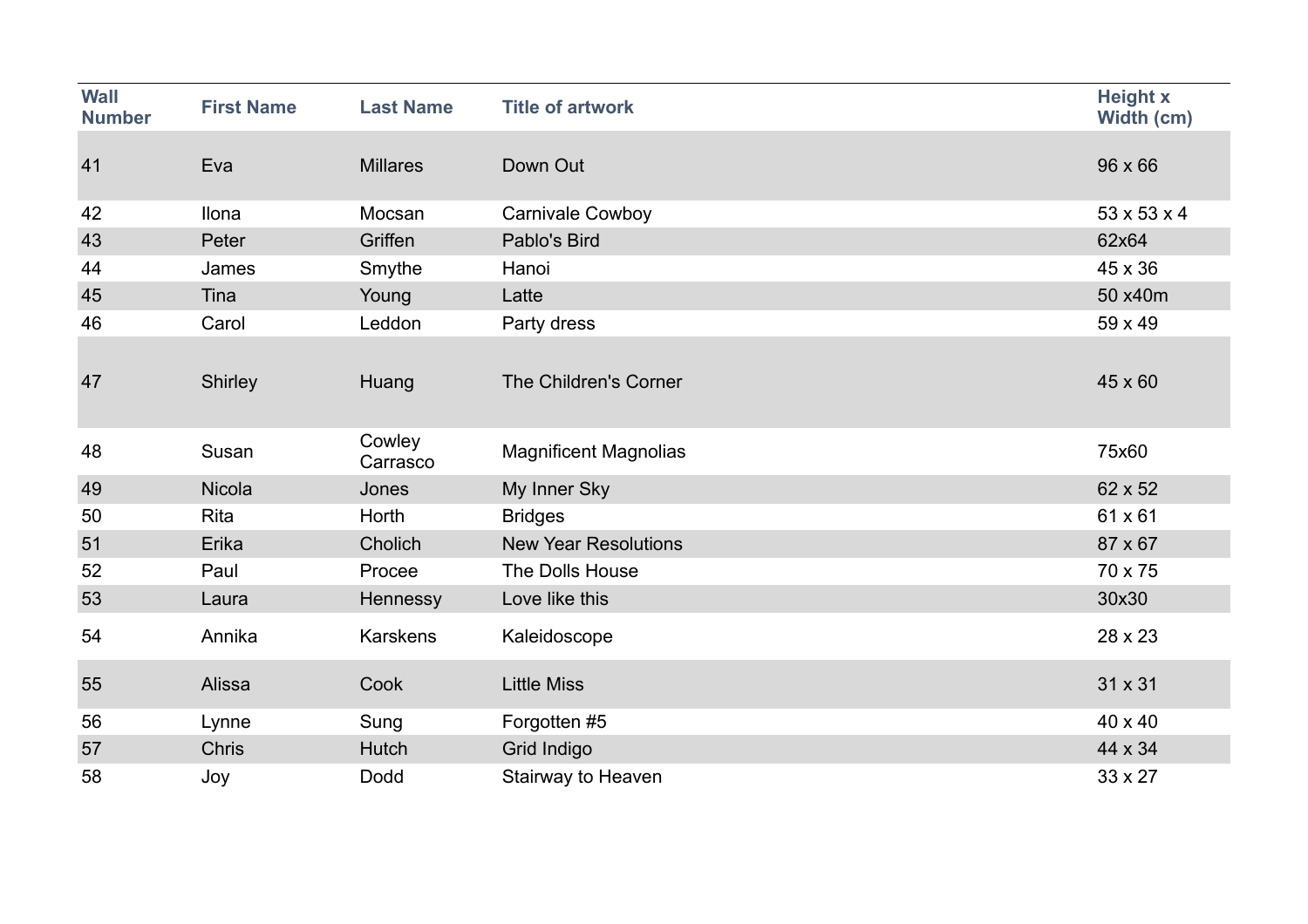| <b>Wall</b><br><b>Number</b> | <b>First Name</b> | <b>Last Name</b>   | <b>Title of artwork</b>      | <b>Height x</b><br>Width (cm) |
|------------------------------|-------------------|--------------------|------------------------------|-------------------------------|
| 41                           | Eva               | <b>Millares</b>    | Down Out                     | $96 \times 66$                |
| 42                           | Ilona             | Mocsan             | Carnivale Cowboy             | $53 \times 53 \times 4$       |
| 43                           | Peter             | Griffen            | Pablo's Bird                 | 62x64                         |
| 44                           | James             | Smythe             | Hanoi                        | 45 x 36                       |
| 45                           | Tina              | Young              | Latte                        | 50 x40m                       |
| 46                           | Carol             | Leddon             | Party dress                  | 59 x 49                       |
| 47                           | Shirley           | Huang              | The Children's Corner        | 45 x 60                       |
| 48                           | Susan             | Cowley<br>Carrasco | <b>Magnificent Magnolias</b> | 75x60                         |
| 49                           | Nicola            | Jones              | My Inner Sky                 | 62 x 52                       |
| 50                           | <b>Rita</b>       | Horth              | <b>Bridges</b>               | 61 x 61                       |
| 51                           | Erika             | Cholich            | <b>New Year Resolutions</b>  | 87 x 67                       |
| 52                           | Paul              | Procee             | The Dolls House              | 70 x 75                       |
| 53                           | Laura             | Hennessy           | Love like this               | 30x30                         |
| 54                           | Annika            | <b>Karskens</b>    | Kaleidoscope                 | 28 x 23                       |
| 55                           | Alissa            | Cook               | <b>Little Miss</b>           | 31 x 31                       |
| 56                           | Lynne             | Sung               | Forgotten #5                 | 40 x 40                       |
| 57                           | <b>Chris</b>      | Hutch              | Grid Indigo                  | 44 x 34                       |
| 58                           | Joy               | Dodd               | Stairway to Heaven           | 33 x 27                       |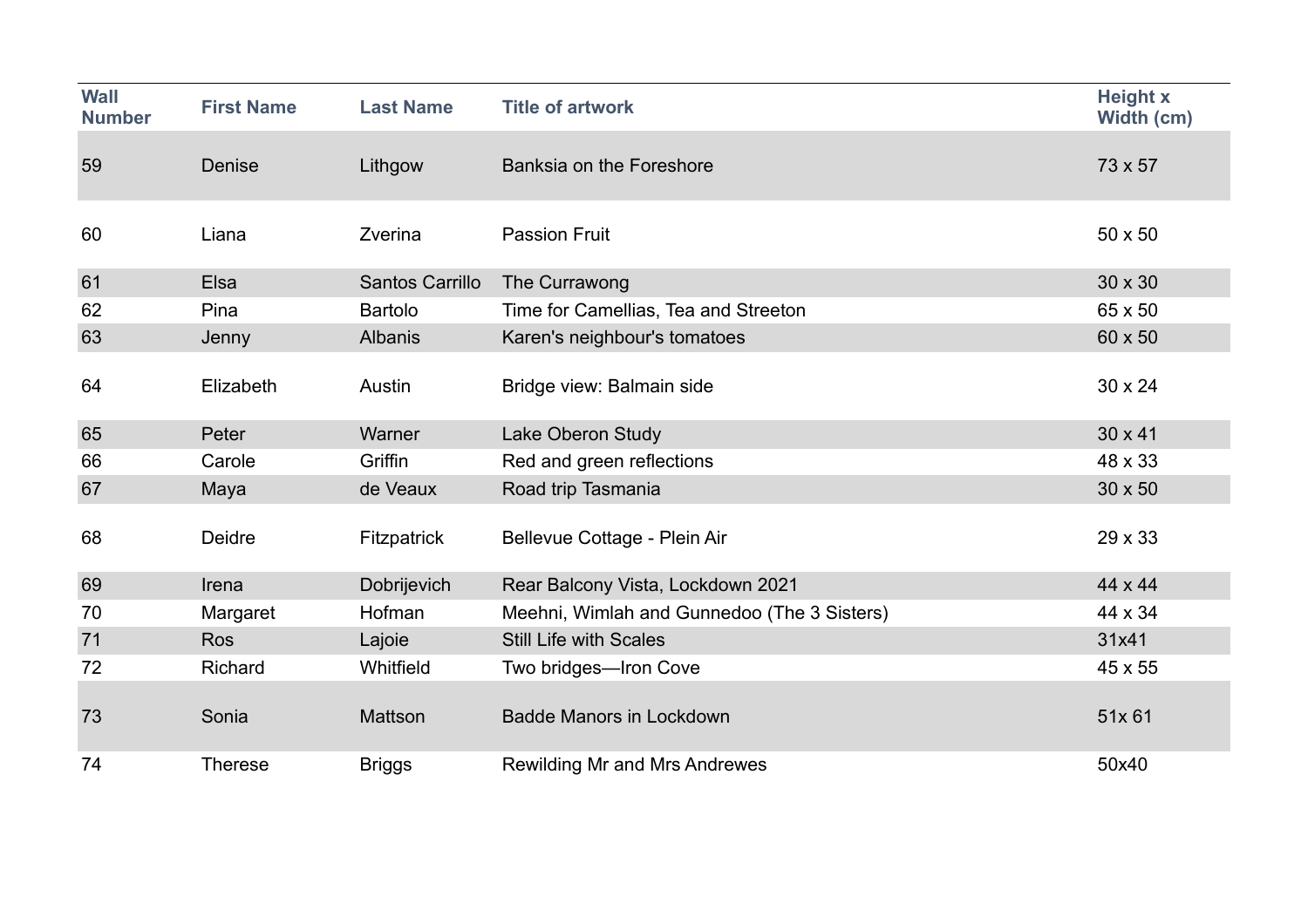| <b>Wall</b><br><b>Number</b> | <b>First Name</b> | <b>Last Name</b> | <b>Title of artwork</b>                     | <b>Height x</b><br>Width (cm) |
|------------------------------|-------------------|------------------|---------------------------------------------|-------------------------------|
| 59                           | Denise            | Lithgow          | Banksia on the Foreshore                    | 73 x 57                       |
| 60                           | Liana             | Zverina          | <b>Passion Fruit</b>                        | $50 \times 50$                |
| 61                           | Elsa              | Santos Carrillo  | The Currawong                               | 30 x 30                       |
| 62                           | Pina              | <b>Bartolo</b>   | Time for Camellias, Tea and Streeton        | 65 x 50                       |
| 63                           | Jenny             | <b>Albanis</b>   | Karen's neighbour's tomatoes                | 60 x 50                       |
| 64                           | Elizabeth         | Austin           | Bridge view: Balmain side                   | 30 x 24                       |
| 65                           | Peter             | Warner           | Lake Oberon Study                           | 30 x 41                       |
| 66                           | Carole            | Griffin          | Red and green reflections                   | 48 x 33                       |
| 67                           | Maya              | de Veaux         | Road trip Tasmania                          | 30 x 50                       |
| 68                           | Deidre            | Fitzpatrick      | Bellevue Cottage - Plein Air                | 29 x 33                       |
| 69                           | Irena             | Dobrijevich      | Rear Balcony Vista, Lockdown 2021           | 44 x 44                       |
| 70                           | Margaret          | Hofman           | Meehni, Wimlah and Gunnedoo (The 3 Sisters) | 44 x 34                       |
| 71                           | <b>Ros</b>        | Lajoie           | <b>Still Life with Scales</b>               | 31x41                         |
| 72                           | Richard           | Whitfield        | Two bridges-Iron Cove                       | 45 x 55                       |
| 73                           | Sonia             | Mattson          | <b>Badde Manors in Lockdown</b>             | 51x 61                        |
| 74                           | <b>Therese</b>    | <b>Briggs</b>    | <b>Rewilding Mr and Mrs Andrewes</b>        | 50x40                         |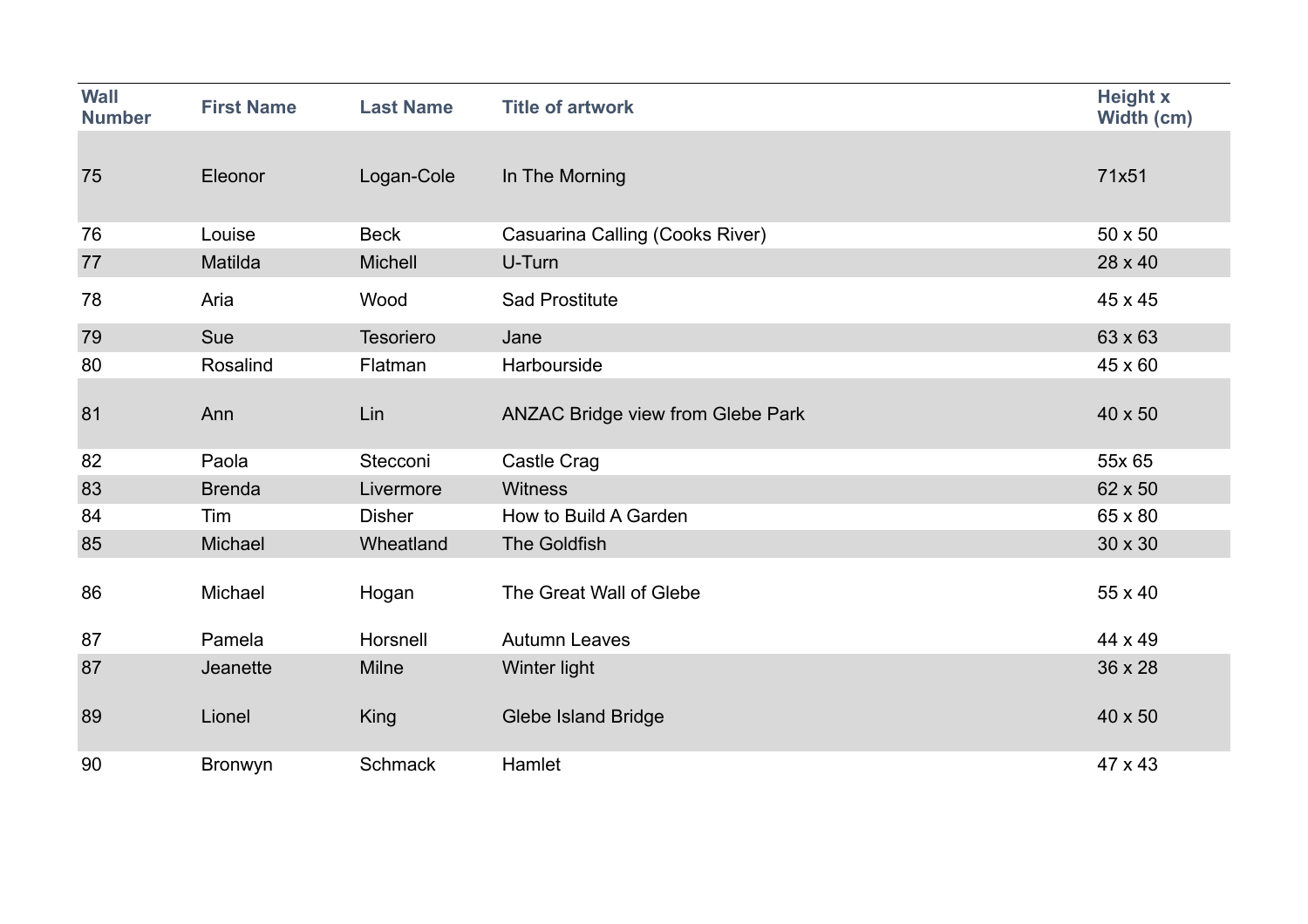| <b>Wall</b><br><b>Number</b> | <b>First Name</b> | <b>Last Name</b> | <b>Title of artwork</b>                  | <b>Height x</b><br>Width (cm) |
|------------------------------|-------------------|------------------|------------------------------------------|-------------------------------|
| 75                           | Eleonor           | Logan-Cole       | In The Morning                           | 71x51                         |
| 76                           | Louise            | <b>Beck</b>      | Casuarina Calling (Cooks River)          | $50 \times 50$                |
| 77                           | Matilda           | <b>Michell</b>   | U-Turn                                   | 28 x 40                       |
| 78                           | Aria              | Wood             | <b>Sad Prostitute</b>                    | 45 x 45                       |
| 79                           | Sue               | Tesoriero        | Jane                                     | 63 x 63                       |
| 80                           | Rosalind          | Flatman          | Harbourside                              | 45 x 60                       |
| 81                           | Ann               | Lin              | <b>ANZAC Bridge view from Glebe Park</b> | 40 x 50                       |
| 82                           | Paola             | Stecconi         | Castle Crag                              | 55x 65                        |
| 83                           | <b>Brenda</b>     | Livermore        | <b>Witness</b>                           | 62 x 50                       |
| 84                           | Tim               | <b>Disher</b>    | How to Build A Garden                    | 65 x 80                       |
| 85                           | Michael           | Wheatland        | The Goldfish                             | 30 x 30                       |
| 86                           | Michael           | Hogan            | The Great Wall of Glebe                  | 55 x 40                       |
| 87                           | Pamela            | Horsnell         | <b>Autumn Leaves</b>                     | 44 x 49                       |
| 87                           | Jeanette          | <b>Milne</b>     | Winter light                             | 36 x 28                       |
| 89                           | Lionel            | King             | <b>Glebe Island Bridge</b>               | 40 x 50                       |
| 90                           | <b>Bronwyn</b>    | <b>Schmack</b>   | Hamlet                                   | 47 x 43                       |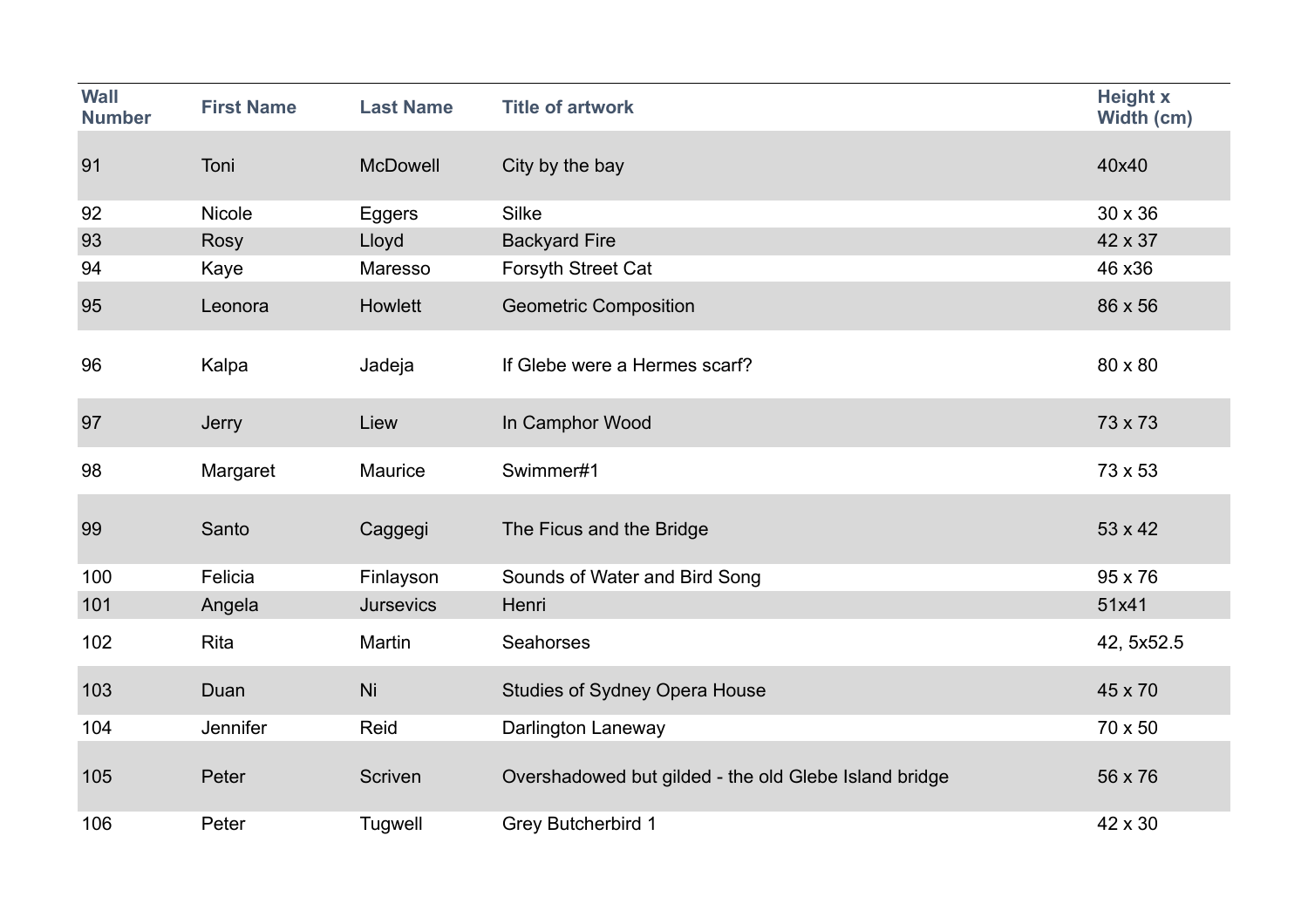| <b>Wall</b><br><b>Number</b> | <b>First Name</b> | <b>Last Name</b> | <b>Title of artwork</b>                               | <b>Height x</b><br>Width (cm) |
|------------------------------|-------------------|------------------|-------------------------------------------------------|-------------------------------|
| 91                           | Toni              | <b>McDowell</b>  | City by the bay                                       | 40x40                         |
| 92                           | Nicole            | <b>Eggers</b>    | Silke                                                 | 30 x 36                       |
| 93                           | <b>Rosy</b>       | Lloyd            | <b>Backyard Fire</b>                                  | 42 x 37                       |
| 94                           | Kaye              | Maresso          | Forsyth Street Cat                                    | 46 x36                        |
| 95                           | Leonora           | Howlett          | <b>Geometric Composition</b>                          | 86 x 56                       |
| 96                           | Kalpa             | Jadeja           | If Glebe were a Hermes scarf?                         | 80 x 80                       |
| 97                           | Jerry             | Liew             | In Camphor Wood                                       | 73 x 73                       |
| 98                           | Margaret          | Maurice          | Swimmer#1                                             | 73 x 53                       |
| 99                           | Santo             | Caggegi          | The Ficus and the Bridge                              | 53 x 42                       |
| 100                          | Felicia           | Finlayson        | Sounds of Water and Bird Song                         | 95 x 76                       |
| 101                          | Angela            | <b>Jursevics</b> | Henri                                                 | 51x41                         |
| 102                          | <b>Rita</b>       | Martin           | Seahorses                                             | 42, 5x52.5                    |
| 103                          | Duan              | Ni               | <b>Studies of Sydney Opera House</b>                  | 45 x 70                       |
| 104                          | Jennifer          | Reid             | Darlington Laneway                                    | 70 x 50                       |
| 105                          | Peter             | Scriven          | Overshadowed but gilded - the old Glebe Island bridge | 56 x 76                       |
| 106                          | Peter             | Tugwell          | <b>Grey Butcherbird 1</b>                             | 42 x 30                       |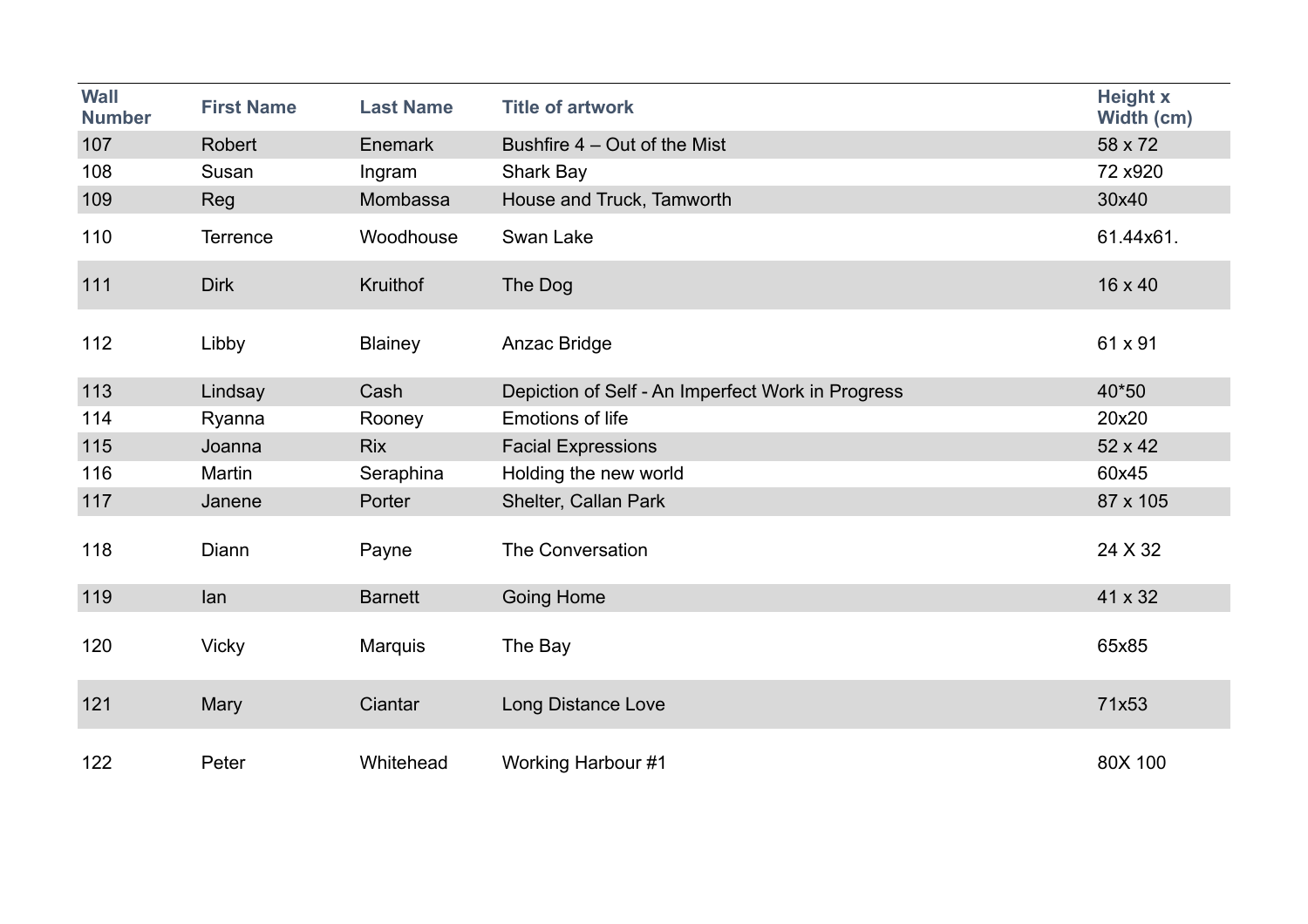| <b>Wall</b><br><b>Number</b> | <b>First Name</b> | <b>Last Name</b> | <b>Title of artwork</b>                           | <b>Height x</b><br>Width (cm) |
|------------------------------|-------------------|------------------|---------------------------------------------------|-------------------------------|
| 107                          | Robert            | Enemark          | Bushfire 4 – Out of the Mist                      | 58 x 72                       |
| 108                          | Susan             | Ingram           | <b>Shark Bay</b>                                  | 72 x920                       |
| 109                          | Reg               | Mombassa         | House and Truck, Tamworth                         | 30x40                         |
| 110                          | Terrence          | Woodhouse        | Swan Lake                                         | 61.44x61.                     |
| 111                          | <b>Dirk</b>       | <b>Kruithof</b>  | The Dog                                           | 16 x 40                       |
| 112                          | Libby             | <b>Blainey</b>   | Anzac Bridge                                      | 61 x 91                       |
| 113                          | Lindsay           | Cash             | Depiction of Self - An Imperfect Work in Progress | 40*50                         |
| 114                          | Ryanna            | Rooney           | <b>Emotions of life</b>                           | 20x20                         |
| 115                          | Joanna            | <b>Rix</b>       | <b>Facial Expressions</b>                         | 52 x 42                       |
| 116                          | Martin            | Seraphina        | Holding the new world                             | 60x45                         |
| 117                          | Janene            | Porter           | Shelter, Callan Park                              | 87 x 105                      |
| 118                          | Diann             | Payne            | The Conversation                                  | 24 X 32                       |
| 119                          | lan               | <b>Barnett</b>   | <b>Going Home</b>                                 | 41 x 32                       |
| 120                          | <b>Vicky</b>      | <b>Marquis</b>   | The Bay                                           | 65x85                         |
| 121                          | Mary              | Ciantar          | Long Distance Love                                | 71x53                         |
| 122                          | Peter             | Whitehead        | Working Harbour #1                                | 80X 100                       |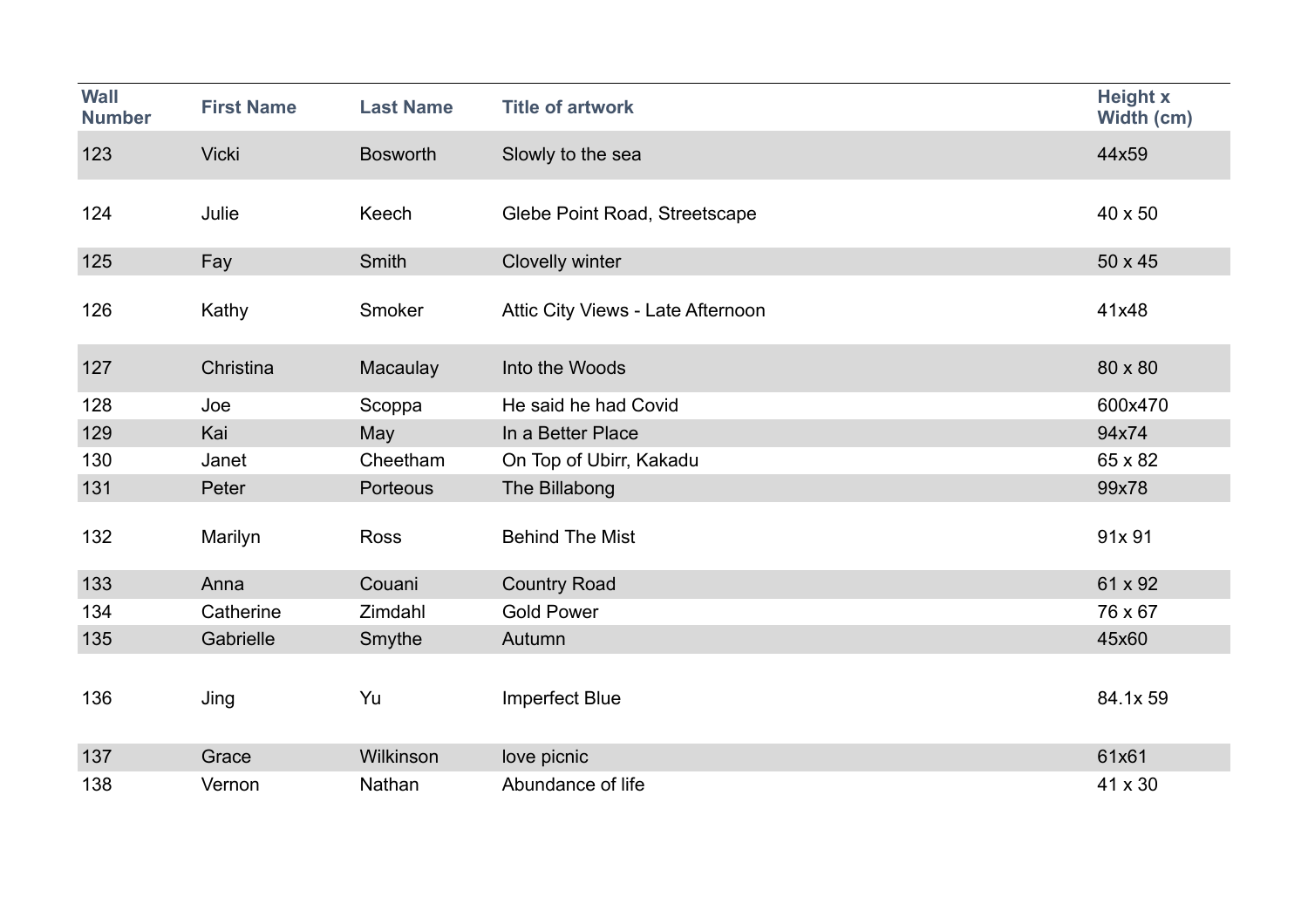| <b>Wall</b><br><b>Number</b> | <b>First Name</b> | <b>Last Name</b> | <b>Title of artwork</b>           | <b>Height x</b><br>Width (cm) |
|------------------------------|-------------------|------------------|-----------------------------------|-------------------------------|
| 123                          | <b>Vicki</b>      | <b>Bosworth</b>  | Slowly to the sea                 | 44x59                         |
| 124                          | Julie             | Keech            | Glebe Point Road, Streetscape     | 40 x 50                       |
| 125                          | Fay               | Smith            | Clovelly winter                   | 50 x 45                       |
| 126                          | Kathy             | Smoker           | Attic City Views - Late Afternoon | 41x48                         |
| 127                          | Christina         | Macaulay         | Into the Woods                    | 80 x 80                       |
| 128                          | Joe               | Scoppa           | He said he had Covid              | 600x470                       |
| 129                          | Kai               | May              | In a Better Place                 | 94x74                         |
| 130                          | Janet             | Cheetham         | On Top of Ubirr, Kakadu           | 65 x 82                       |
| 131                          | Peter             | Porteous         | The Billabong                     | 99x78                         |
| 132                          | Marilyn           | <b>Ross</b>      | <b>Behind The Mist</b>            | 91x 91                        |
| 133                          | Anna              | Couani           | <b>Country Road</b>               | 61 x 92                       |
| 134                          | Catherine         | Zimdahl          | <b>Gold Power</b>                 | 76 x 67                       |
| 135                          | Gabrielle         | Smythe           | Autumn                            | 45x60                         |
| 136                          | Jing              | Yu               | <b>Imperfect Blue</b>             | 84.1x 59                      |
| 137                          | Grace             | Wilkinson        | love picnic                       | 61x61                         |
| 138                          | Vernon            | Nathan           | Abundance of life                 | 41 x 30                       |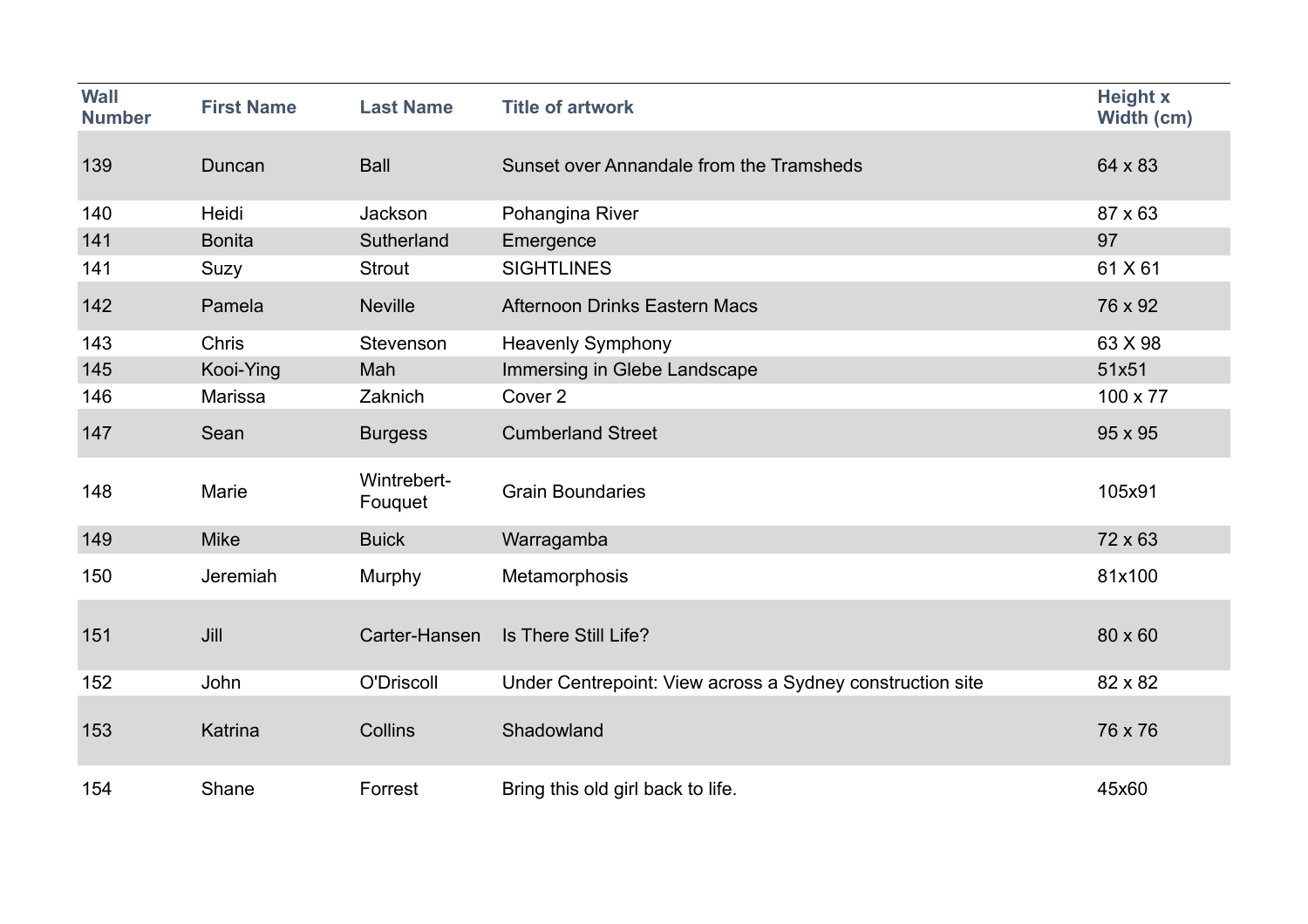| <b>Wall</b><br><b>Number</b> | <b>First Name</b> | <b>Last Name</b>       | <b>Title of artwork</b>                                   | <b>Height x</b><br>Width (cm) |
|------------------------------|-------------------|------------------------|-----------------------------------------------------------|-------------------------------|
| 139                          | Duncan            | <b>Ball</b>            | Sunset over Annandale from the Tramsheds                  | 64 x 83                       |
| 140                          | Heidi             | Jackson                | Pohangina River                                           | 87 x 63                       |
| 141                          | <b>Bonita</b>     | Sutherland             | Emergence                                                 | 97                            |
| 141                          | Suzy              | <b>Strout</b>          | <b>SIGHTLINES</b>                                         | 61 X 61                       |
| 142                          | Pamela            | <b>Neville</b>         | <b>Afternoon Drinks Eastern Macs</b>                      | 76 x 92                       |
| 143                          | <b>Chris</b>      | Stevenson              | <b>Heavenly Symphony</b>                                  | 63 X 98                       |
| 145                          | Kooi-Ying         | Mah                    | Immersing in Glebe Landscape                              | 51x51                         |
| 146                          | Marissa           | Zaknich                | Cover 2                                                   | 100 x 77                      |
| 147                          | Sean              | <b>Burgess</b>         | <b>Cumberland Street</b>                                  | 95 x 95                       |
| 148                          | Marie             | Wintrebert-<br>Fouquet | <b>Grain Boundaries</b>                                   | 105x91                        |
| 149                          | <b>Mike</b>       | <b>Buick</b>           | Warragamba                                                | 72 x 63                       |
| 150                          | Jeremiah          | Murphy                 | Metamorphosis                                             | 81x100                        |
| 151                          | Jill              | Carter-Hansen          | Is There Still Life?                                      | 80 x 60                       |
| 152                          | John              | O'Driscoll             | Under Centrepoint: View across a Sydney construction site | 82 x 82                       |
| 153                          | Katrina           | Collins                | Shadowland                                                | 76 x 76                       |
| 154                          | Shane             | Forrest                | Bring this old girl back to life.                         | 45x60                         |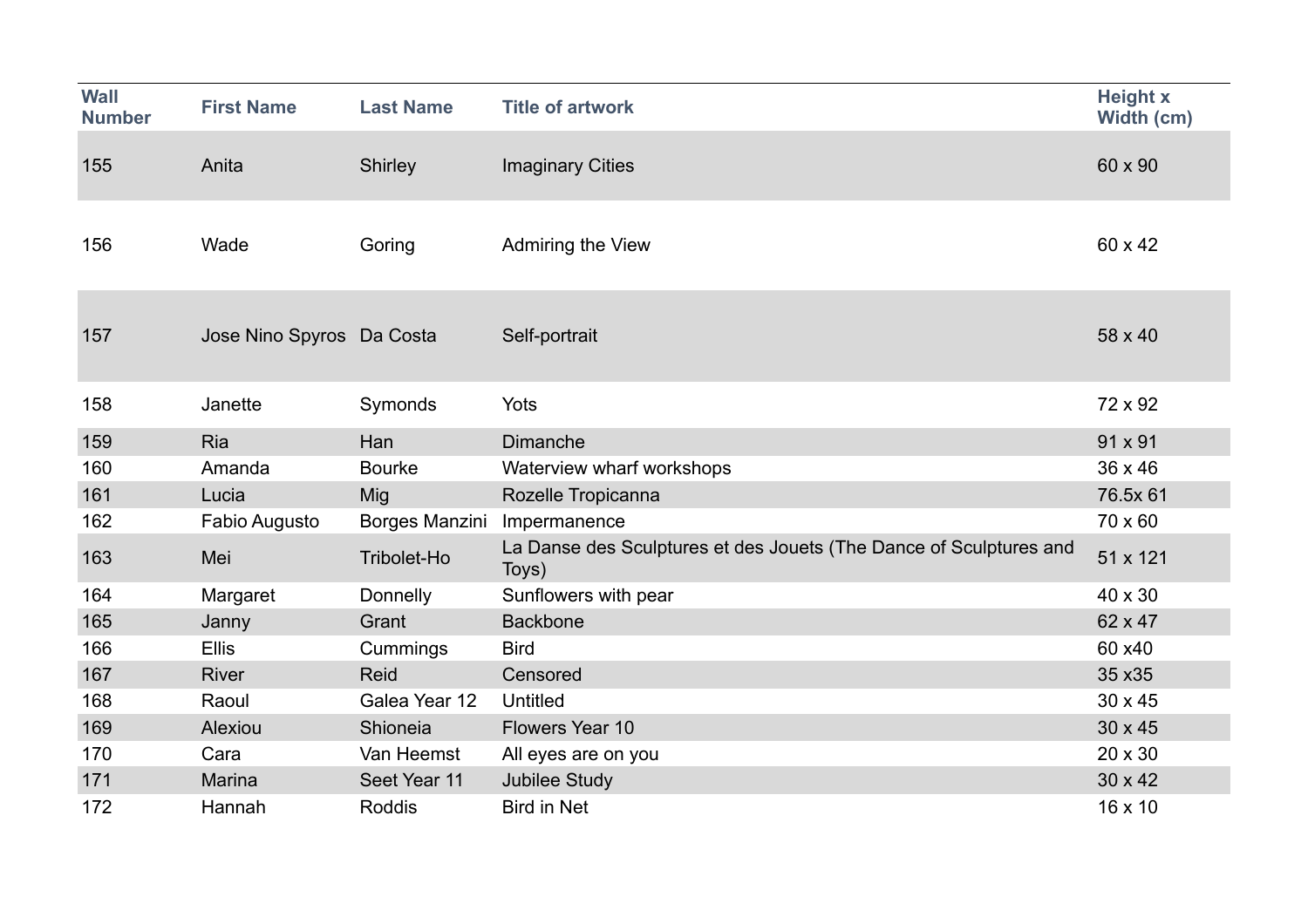| <b>Wall</b>   |                           |                  |                                                                             | <b>Height x</b> |
|---------------|---------------------------|------------------|-----------------------------------------------------------------------------|-----------------|
| <b>Number</b> | <b>First Name</b>         | <b>Last Name</b> | <b>Title of artwork</b>                                                     | Width (cm)      |
|               |                           |                  |                                                                             |                 |
| 155           | Anita                     | Shirley          | <b>Imaginary Cities</b>                                                     | 60 x 90         |
|               |                           |                  |                                                                             |                 |
|               |                           |                  |                                                                             |                 |
| 156           | Wade                      | Goring           | Admiring the View                                                           | 60 x 42         |
|               |                           |                  |                                                                             |                 |
|               |                           |                  |                                                                             |                 |
| 157           | Jose Nino Spyros Da Costa |                  | Self-portrait                                                               | 58 x 40         |
|               |                           |                  |                                                                             |                 |
|               |                           |                  |                                                                             |                 |
| 158           | Janette                   | Symonds          | Yots                                                                        | 72 x 92         |
| 159           | Ria                       | Han              | <b>Dimanche</b>                                                             | 91 x 91         |
| 160           | Amanda                    | <b>Bourke</b>    | Waterview wharf workshops                                                   | 36 x 46         |
| 161           | Lucia                     | Mig              | Rozelle Tropicanna                                                          | 76.5x 61        |
| 162           | Fabio Augusto             | Borges Manzini   | Impermanence                                                                | 70 x 60         |
| 163           | Mei                       | Tribolet-Ho      | La Danse des Sculptures et des Jouets (The Dance of Sculptures and<br>Toys) | 51 x 121        |
| 164           | Margaret                  | Donnelly         | Sunflowers with pear                                                        | 40 x 30         |
| 165           | Janny                     | Grant            | <b>Backbone</b>                                                             | 62 x 47         |
| 166           | <b>Ellis</b>              | Cummings         | <b>Bird</b>                                                                 | 60 x40          |
| 167           | <b>River</b>              | <b>Reid</b>      | Censored                                                                    | 35 x 35         |
| 168           | Raoul                     | Galea Year 12    | <b>Untitled</b>                                                             | 30 x 45         |
| 169           | Alexiou                   | Shioneia         | Flowers Year 10                                                             | 30 x 45         |
| 170           | Cara                      | Van Heemst       | All eyes are on you                                                         | 20 x 30         |
| 171           | <b>Marina</b>             | Seet Year 11     | <b>Jubilee Study</b>                                                        | 30 x 42         |
| 172           | Hannah                    | Roddis           | <b>Bird in Net</b>                                                          | 16 x 10         |